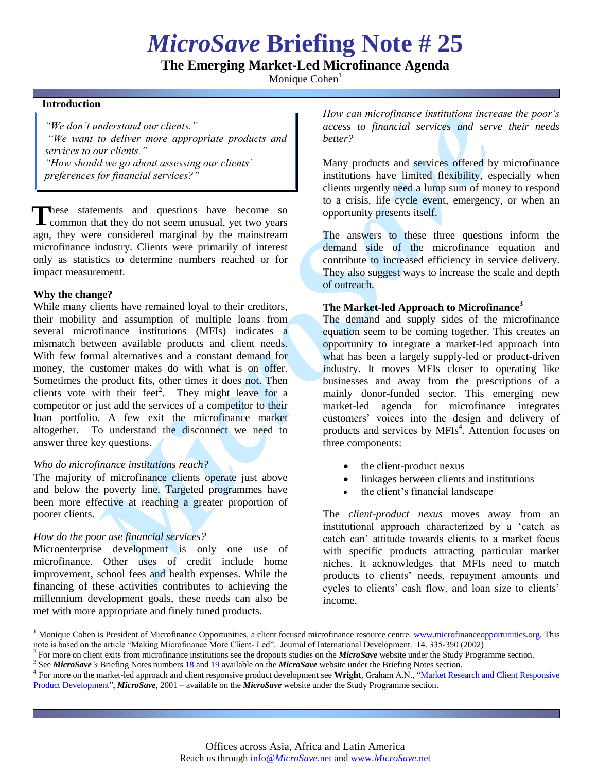# *MicroSave* **Briefing Note # 25**

**The Emerging Market-Led Microfinance Agenda**

Monique Cohen<sup>1</sup>

#### **Introduction**

*"We don't understand our clients." "We want to deliver more appropriate products and services to our clients." "How should we go about assessing our clients'* 

*preferences for financial services?"*

hese statements and questions have become so These statements and questions have become so common that they do not seem unusual, yet two years ago, they were considered marginal by the mainstream microfinance industry. Clients were primarily of interest only as statistics to determine numbers reached or for impact measurement.

## **Why the change?**

While many clients have remained loyal to their creditors, their mobility and assumption of multiple loans from several microfinance institutions (MFIs) indicates a mismatch between available products and client needs. With few formal alternatives and a constant demand for money, the customer makes do with what is on offer. Sometimes the product fits, other times it does not. Then clients vote with their feet<sup>2</sup>. They might leave for a competitor or just add the services of a competitor to their loan portfolio. A few exit the microfinance market altogether. To understand the disconnect we need to answer three key questions.

## *Who do microfinance institutions reach?*

The majority of microfinance clients operate just above and below the poverty line. Targeted programmes have been more effective at reaching a greater proportion of poorer clients.

## *How do the poor use financial services?*

Microenterprise development is only one use of microfinance. Other uses of credit include home improvement, school fees and health expenses. While the financing of these activities contributes to achieving the millennium development goals, these needs can also be met with more appropriate and finely tuned products.

*How can microfinance institutions increase the poor's access to financial services and serve their needs better?* 

Many products and services offered by microfinance institutions have limited flexibility, especially when clients urgently need a lump sum of money to respond to a crisis, life cycle event, emergency, or when an opportunity presents itself.

The answers to these three questions inform the demand side of the microfinance equation and contribute to increased efficiency in service delivery. They also suggest ways to increase the scale and depth of outreach.

## **The Market-led Approach to Microfinance<sup>3</sup>**

The demand and supply sides of the microfinance equation seem to be coming together. This creates an opportunity to integrate a market-led approach into what has been a largely supply-led or product-driven industry. It moves MFIs closer to operating like businesses and away from the prescriptions of a mainly donor-funded sector. This emerging new market-led agenda for microfinance integrates customers" voices into the design and delivery of products and services by MFIs<sup>4</sup>. Attention focuses on three components:

- the client-product nexus
- linkages between clients and institutions
- the client's financial landscape

The *client-product nexus* moves away from an institutional approach characterized by a "catch as catch can" attitude towards clients to a market focus with specific products attracting particular market niches. It acknowledges that MFIs need to match products to clients" needs, repayment amounts and cycles to clients' cash flow, and loan size to clients' income.

<sup>&</sup>lt;sup>1</sup> Monique Cohen is President of Microfinance Opportunities, a client focused microfinance resource centre. [www.microfinanceopportunities.org.](file:///C:\Briefing%20Notes\www.microfinanceopportunities.org) This note is based on the article "Making Microfinance More Client- Led". Journal of International Development. 14. 335-350 (2002)

<sup>2</sup> For more on client exits from microfinance institutions see the dropouts studies on the *MicroSave* website under the Study Programme section.

<sup>3</sup> See *MicroSave's* Briefing Notes number[s 18](http://www.microsave.org/briefing_notes/briefing-note-18-signposts-to-the-provision-of-market-led-micro-financial-services) an[d 19](http://www.microsave.org/briefing_notes/briefing-note-19-market-orientation-as-the-key-to-deep-outreach) available on the *MicroSave* website under the Briefing Notes section.

<sup>4</sup> For more on the market-led approach and client responsive product development see **Wright**, Graham A.N., ["Market Research and Client Responsive](http://www.microsave.org/research_paper/market-research-and-client-responsive-product-development)  [Product Development"](http://www.microsave.org/research_paper/market-research-and-client-responsive-product-development), *MicroSave*, 2001 – available on the *MicroSave* website under the Study Programme section.